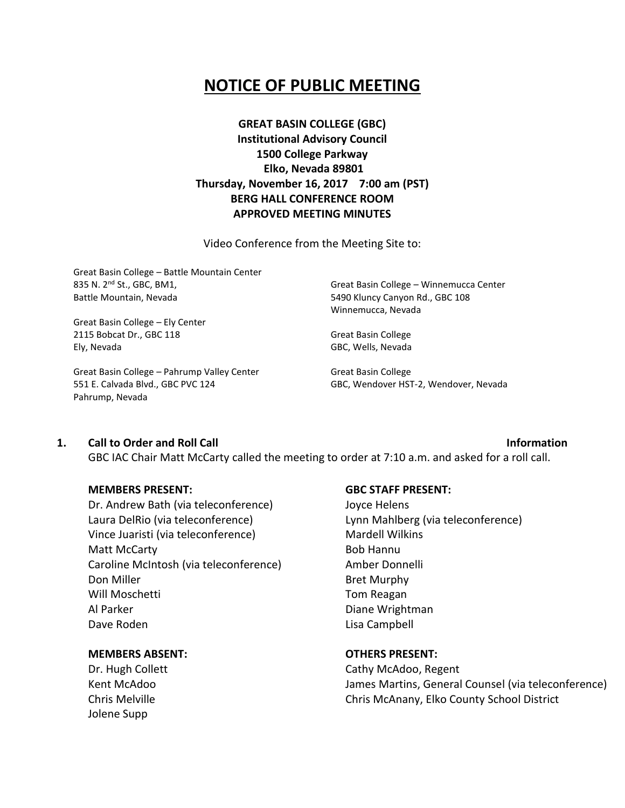## **NOTICE OF PUBLIC MEETING**

**GREAT BASIN COLLEGE (GBC) Institutional Advisory Council 1500 College Parkway Elko, Nevada 89801 Thursday, November 16, 2017 7:00 am (PST) BERG HALL CONFERENCE ROOM APPROVED MEETING MINUTES**

Video Conference from the Meeting Site to:

Great Basin College – Battle Mountain Center 835 N. 2nd St., GBC, BM1, Battle Mountain, Nevada

Great Basin College – Ely Center 2115 Bobcat Dr., GBC 118 Ely, Nevada

Great Basin College – Pahrump Valley Center 551 E. Calvada Blvd., GBC PVC 124 Pahrump, Nevada

Great Basin College – Winnemucca Center 5490 Kluncy Canyon Rd., GBC 108 Winnemucca, Nevada

Great Basin College GBC, Wells, Nevada

Great Basin College GBC, Wendover HST-2, Wendover, Nevada

### **1. Call to Order and Roll Call Information**

GBC IAC Chair Matt McCarty called the meeting to order at 7:10 a.m. and asked for a roll call.

### **MEMBERS PRESENT:**

Dr. Andrew Bath (via teleconference) Laura DelRio (via teleconference) Vince Juaristi (via teleconference) Matt McCarty Caroline McIntosh (via teleconference) Don Miller Will Moschetti Al Parker Dave Roden

### **MEMBERS ABSENT:**

Dr. Hugh Collett Kent McAdoo Chris Melville Jolene Supp

### **GBC STAFF PRESENT:**

Joyce Helens Lynn Mahlberg (via teleconference) Mardell Wilkins Bob Hannu Amber Donnelli Bret Murphy Tom Reagan Diane Wrightman Lisa Campbell

### **OTHERS PRESENT:**

Cathy McAdoo, Regent James Martins, General Counsel (via teleconference) Chris McAnany, Elko County School District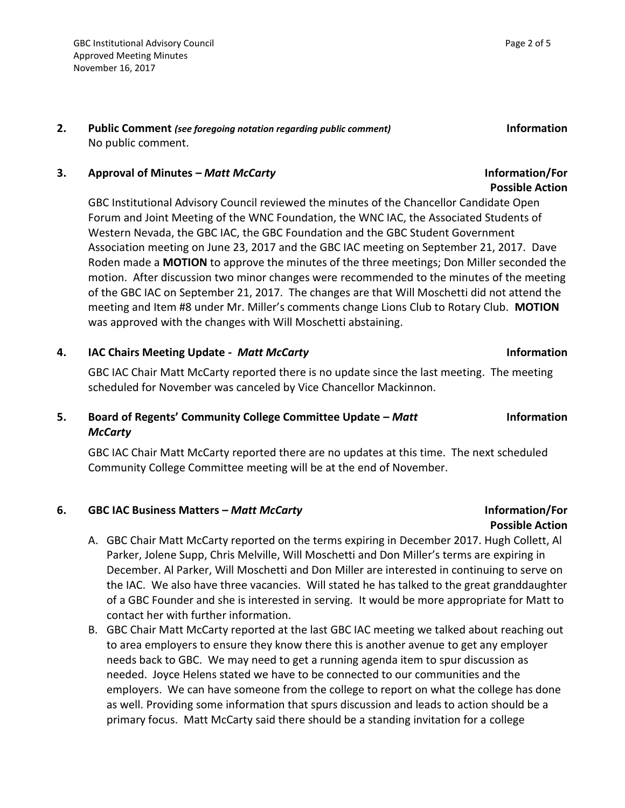### **3. Approval of Minutes –** *Matt McCarty* **Information/For**

GBC Institutional Advisory Council reviewed the minutes of the Chancellor Candidate Open Forum and Joint Meeting of the WNC Foundation, the WNC IAC, the Associated Students of Western Nevada, the GBC IAC, the GBC Foundation and the GBC Student Government Association meeting on June 23, 2017 and the GBC IAC meeting on September 21, 2017. Dave Roden made a **MOTION** to approve the minutes of the three meetings; Don Miller seconded the motion. After discussion two minor changes were recommended to the minutes of the meeting of the GBC IAC on September 21, 2017. The changes are that Will Moschetti did not attend the meeting and Item #8 under Mr. Miller's comments change Lions Club to Rotary Club. **MOTION**  was approved with the changes with Will Moschetti abstaining.

### **4. IAC Chairs Meeting Update -** *Matt McCarty* **Information**

GBC IAC Chair Matt McCarty reported there is no update since the last meeting. The meeting scheduled for November was canceled by Vice Chancellor Mackinnon.

### **5. Board of Regents' Community College Committee Update –** *Matt McCarty*

GBC IAC Chair Matt McCarty reported there are no updates at this time. The next scheduled Community College Committee meeting will be at the end of November.

### **6. GBC IAC Business Matters –** *Matt McCarty* **Information/For**

- A. GBC Chair Matt McCarty reported on the terms expiring in December 2017. Hugh Collett, Al Parker, Jolene Supp, Chris Melville, Will Moschetti and Don Miller's terms are expiring in December. Al Parker, Will Moschetti and Don Miller are interested in continuing to serve on the IAC. We also have three vacancies. Will stated he has talked to the great granddaughter of a GBC Founder and she is interested in serving. It would be more appropriate for Matt to contact her with further information.
- B. GBC Chair Matt McCarty reported at the last GBC IAC meeting we talked about reaching out to area employers to ensure they know there this is another avenue to get any employer needs back to GBC. We may need to get a running agenda item to spur discussion as needed. Joyce Helens stated we have to be connected to our communities and the employers. We can have someone from the college to report on what the college has done as well. Providing some information that spurs discussion and leads to action should be a primary focus. Matt McCarty said there should be a standing invitation for a college

**Information** 

# **Possible Action**

# **Possible Action**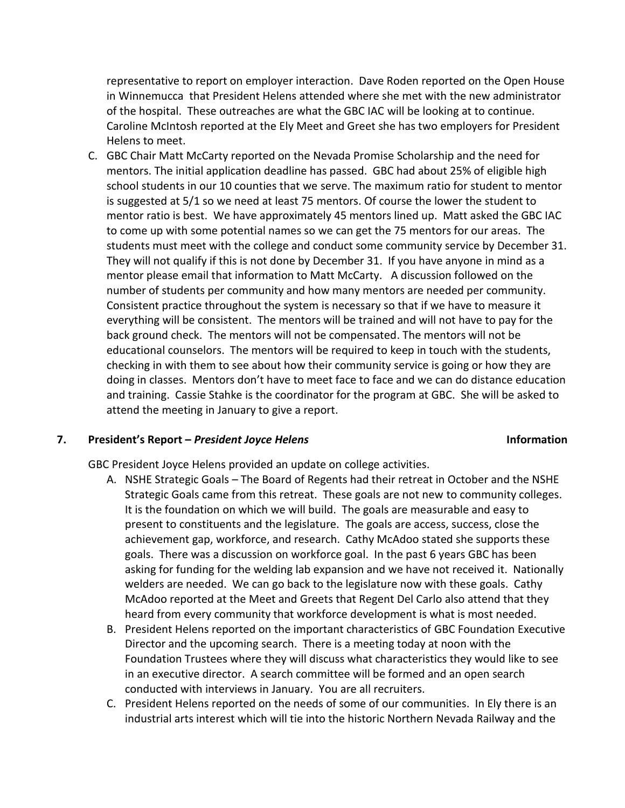representative to report on employer interaction. Dave Roden reported on the Open House in Winnemucca that President Helens attended where she met with the new administrator of the hospital. These outreaches are what the GBC IAC will be looking at to continue. Caroline McIntosh reported at the Ely Meet and Greet she has two employers for President Helens to meet.

C. GBC Chair Matt McCarty reported on the Nevada Promise Scholarship and the need for mentors. The initial application deadline has passed. GBC had about 25% of eligible high school students in our 10 counties that we serve. The maximum ratio for student to mentor is suggested at 5/1 so we need at least 75 mentors. Of course the lower the student to mentor ratio is best. We have approximately 45 mentors lined up. Matt asked the GBC IAC to come up with some potential names so we can get the 75 mentors for our areas. The students must meet with the college and conduct some community service by December 31. They will not qualify if this is not done by December 31. If you have anyone in mind as a mentor please email that information to Matt McCarty. A discussion followed on the number of students per community and how many mentors are needed per community. Consistent practice throughout the system is necessary so that if we have to measure it everything will be consistent. The mentors will be trained and will not have to pay for the back ground check. The mentors will not be compensated. The mentors will not be educational counselors. The mentors will be required to keep in touch with the students, checking in with them to see about how their community service is going or how they are doing in classes. Mentors don't have to meet face to face and we can do distance education and training. Cassie Stahke is the coordinator for the program at GBC. She will be asked to attend the meeting in January to give a report.

### **7. President's Report –** *President Joyce Helens* **Information**

GBC President Joyce Helens provided an update on college activities.

- A. NSHE Strategic Goals The Board of Regents had their retreat in October and the NSHE Strategic Goals came from this retreat. These goals are not new to community colleges. It is the foundation on which we will build. The goals are measurable and easy to present to constituents and the legislature. The goals are access, success, close the achievement gap, workforce, and research. Cathy McAdoo stated she supports these goals. There was a discussion on workforce goal. In the past 6 years GBC has been asking for funding for the welding lab expansion and we have not received it. Nationally welders are needed. We can go back to the legislature now with these goals. Cathy McAdoo reported at the Meet and Greets that Regent Del Carlo also attend that they heard from every community that workforce development is what is most needed.
- B. President Helens reported on the important characteristics of GBC Foundation Executive Director and the upcoming search. There is a meeting today at noon with the Foundation Trustees where they will discuss what characteristics they would like to see in an executive director. A search committee will be formed and an open search conducted with interviews in January. You are all recruiters.
- C. President Helens reported on the needs of some of our communities. In Ely there is an industrial arts interest which will tie into the historic Northern Nevada Railway and the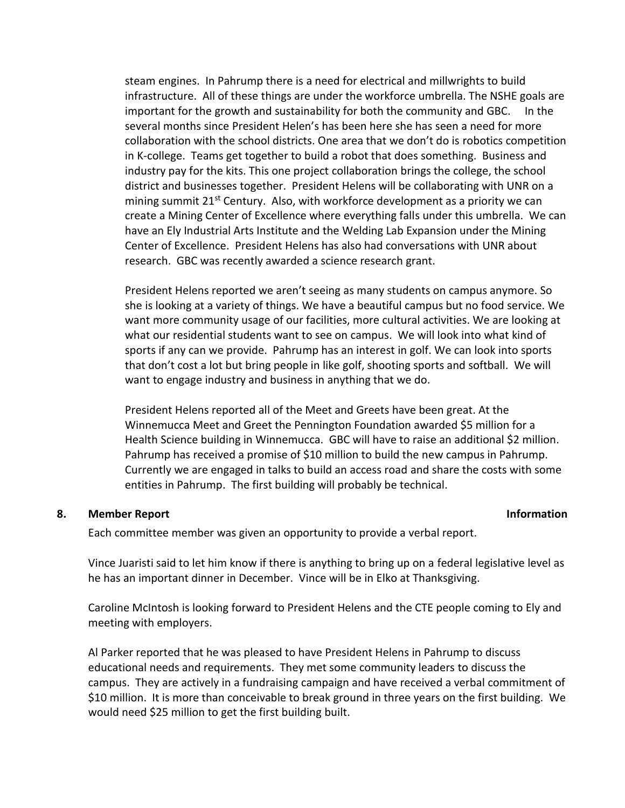steam engines. In Pahrump there is a need for electrical and millwrights to build infrastructure. All of these things are under the workforce umbrella. The NSHE goals are important for the growth and sustainability for both the community and GBC. In the several months since President Helen's has been here she has seen a need for more collaboration with the school districts. One area that we don't do is robotics competition in K-college. Teams get together to build a robot that does something. Business and industry pay for the kits. This one project collaboration brings the college, the school district and businesses together. President Helens will be collaborating with UNR on a mining summit  $21^{st}$  Century. Also, with workforce development as a priority we can create a Mining Center of Excellence where everything falls under this umbrella. We can have an Ely Industrial Arts Institute and the Welding Lab Expansion under the Mining Center of Excellence. President Helens has also had conversations with UNR about research. GBC was recently awarded a science research grant.

President Helens reported we aren't seeing as many students on campus anymore. So she is looking at a variety of things. We have a beautiful campus but no food service. We want more community usage of our facilities, more cultural activities. We are looking at what our residential students want to see on campus. We will look into what kind of sports if any can we provide. Pahrump has an interest in golf. We can look into sports that don't cost a lot but bring people in like golf, shooting sports and softball. We will want to engage industry and business in anything that we do.

President Helens reported all of the Meet and Greets have been great. At the Winnemucca Meet and Greet the Pennington Foundation awarded \$5 million for a Health Science building in Winnemucca. GBC will have to raise an additional \$2 million. Pahrump has received a promise of \$10 million to build the new campus in Pahrump. Currently we are engaged in talks to build an access road and share the costs with some entities in Pahrump. The first building will probably be technical.

### **8. Member Report Information**

Each committee member was given an opportunity to provide a verbal report.

Vince Juaristi said to let him know if there is anything to bring up on a federal legislative level as he has an important dinner in December. Vince will be in Elko at Thanksgiving.

Caroline McIntosh is looking forward to President Helens and the CTE people coming to Ely and meeting with employers.

Al Parker reported that he was pleased to have President Helens in Pahrump to discuss educational needs and requirements. They met some community leaders to discuss the campus. They are actively in a fundraising campaign and have received a verbal commitment of \$10 million. It is more than conceivable to break ground in three years on the first building. We would need \$25 million to get the first building built.